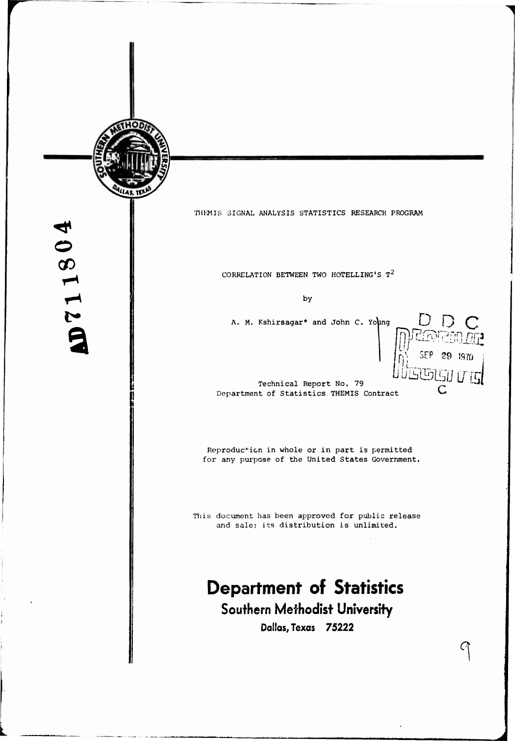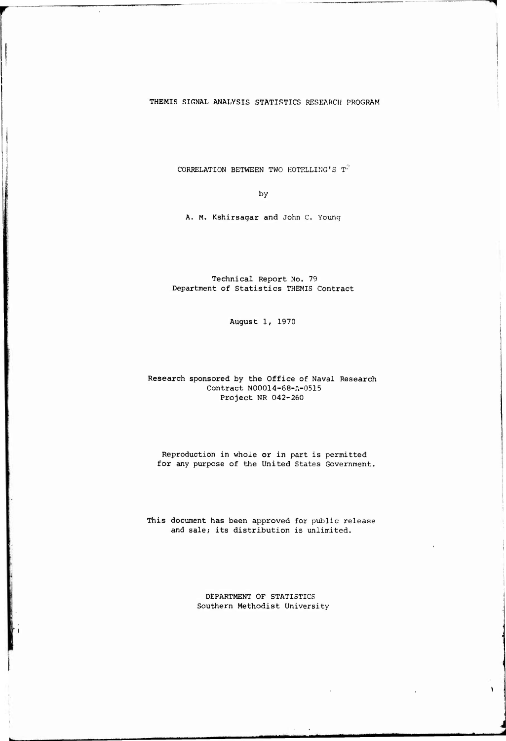### THEMIS SIGNAL ANALYSIS STATISTICS RESEARCH PROGRAM

CORRELATION BETWEEN TWO HOTELLING'S  $T^2$ 

**by**

A. M. Kshirsagar and John C. Young

Technical Report No. 79 Department of Statistics THEMIS Contract

August 1, 1970

### Research sponsored by the Office of Naval Research Contract N00014-68-A-0515 Project NR 042-260

Reproduction in whole or in part is permitted for any purpose of the United States Government.

This document has been approved for public release and sale; its distribution is unlimited.

> DEPARTMENT OF STATISTICS Southern Methodist University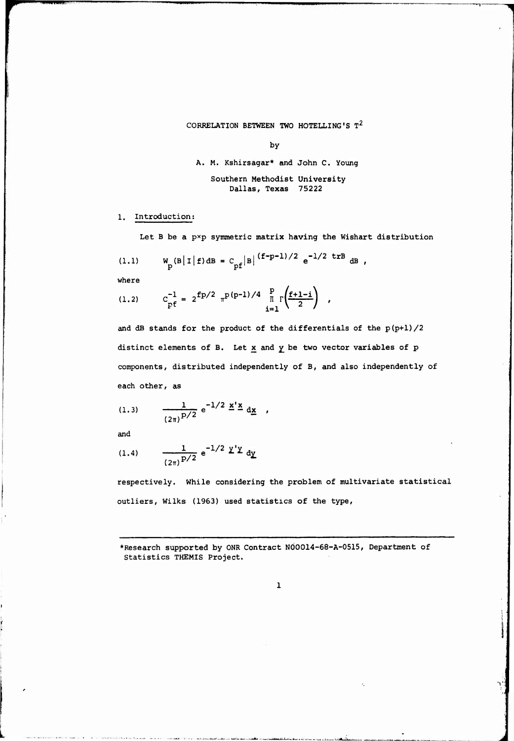CORRELATION BETWEEN TWO HOTELLING'S  $\texttt{T}^2$ 

by

A. M. Kshirsagar\* and John C. Young

Southern Methodist University Dallas, Texas 75222

1. Introduction;

Let B be a  $p \times p$  symmetric matrix having the Wishart distribution

(1.1) 
$$
W_p(B|I|f)dB = C_{pf}|B|^{(f-p-1)/2} e^{-1/2 \text{ tr }B} dB
$$
,

where

**www.Advise** 

(1.2) 
$$
C_{pf}^{-1} = 2^{fp/2} \pi^{p(p-1)/4} \prod_{i=1}^{p} \Gamma\left(\frac{f+1-i}{2}\right)
$$
,

and dB stands for the product of the differentials of the p(p+l)/2 distinct elements of B. Let  $x$  and  $y$  be two vector variables of  $p$ components, distributed independently of B, and also independently of each other, as

each other, as  
(1.3) 
$$
\frac{1}{(2\pi)^{p/2}} e^{-1/2} \stackrel{\times}{=} \frac{d\mathbf{x}}{d\mathbf{x}},
$$

and

and  
(1.4) 
$$
\frac{1}{(2\pi)^{p/2}} e^{-1/2} \mathbf{Y}' \mathbf{Y} d\mathbf{y}
$$

respectively. While considering the problem of multivariate statistical outliers, Wilks (1963) used statistics of the type.

\*Research supported by ONR Contract NOO014-68-A-0515, Department of Statistics THEMIS Project.

**V;**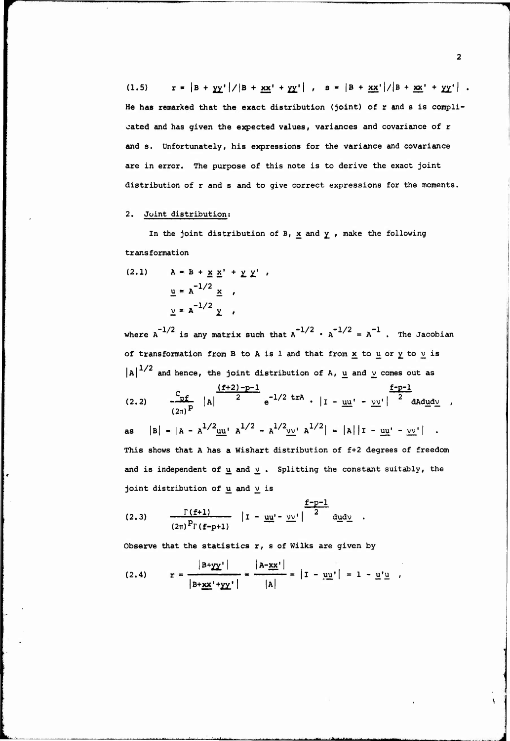(1.5)  $r = |B + \frac{1}{2}X'|\frac{1}{B} + \frac{1}{2}X' + \frac{1}{2}X'|\frac{1}{B} + \frac{1}{2}X'|\frac{1}{B} + \frac{1}{2}X' + \frac{1}{2}X'|\frac{1}{B} + \frac{1}{2}X'|\frac{1}{B} + \frac{1}{2}X'|\frac{1}{B} + \frac{1}{2}X'|\frac{1}{B} + \frac{1}{2}X'|\frac{1}{B} + \frac{1}{2}X'|\frac{1}{B} + \frac{1}{2}X'|\frac{1}{B} + \frac{1}{2}X'|\frac{1}{B} + \frac$ He **has** remarked that the **exact** distribution (joint) of r and s is complicated and has given the expected values, variances and covariance of r and s. Unfortunately, his expressions for the variance and covariance are in error. The purpose of this note is to derive the exact joint distribution of r and s and to give correct expressions for the moments.

# 2. Joint distribution;

In the joint distribution of B,  $x$  and  $y$ , make the following transformation

(2.1) 
$$
A = B + \underline{x} \underline{x}' + \underline{y} \underline{y}'
$$
,  
 $\underline{u} = A^{-1/2} \underline{x}$ ,  
 $\underline{y} = A^{-1/2} \underline{y}$ ,

**where**  $A^{-1/2}$  is any matrix such that  $A^{-1/2}$  ·  $A^{-1/2} = A^{-1}$ . The Jacobian **of transformation from B to A is <sup>1</sup> and that from x to u or ^ to v^ is**  $|A|^{1/2}$  and hence, the joint distribution of A,  $\underline{u}$  and  $\underline{v}$  comes out as  $\frac{C_{\text{p}}}{\sqrt{2}}$  **d**  $\left|\frac{(f+2)-p-1}{2}\right|e^{-1/2 \text{ trA}} \cdot \left|1 - \frac{u u}{2} \right|^{2}$  $\frac{2}{\pi} \int_{P} |A|$  <sup>2</sup>  $e^{-1/2 \pi R} \cdot |I - \underline{u} \underline{u}' - \underline{v} \underline{v}'|$  <sup>2</sup> dad<u>udv</u>, as  $|B| = |A - A^{1/2} u u^T A^{1/2} - A^{1/2} v v^T A^{1/2}| = |A| |I - u u^T - v v^T|$ . **This shows that A has a Wishart distribution of f+2 degrees of freedom and is independent of ii and v^ . Splitting the constant suitably, the**

**joint** distribution of  $\underline{u}$  and  $\underline{v}$  is

(2.3) 
$$
\frac{\Gamma(f+1)}{(2\pi)^p \Gamma(f-p+1)} |I - \underline{uu'} - \underline{vv'}|^{2} d\underline{u}d\underline{v}.
$$

Observe that the statistics  $r$ , s of Wilks are given by

(2.4) 
$$
r = \frac{|B+yy'|}{|B+xx'+yy'|} = \frac{|A-xx'|}{|A|} = |I - y| = 1 - u'u'
$$

**- - \*• <sup>i</sup>** *mm^am* **—"-**

 $\overline{\mathbf{2}}$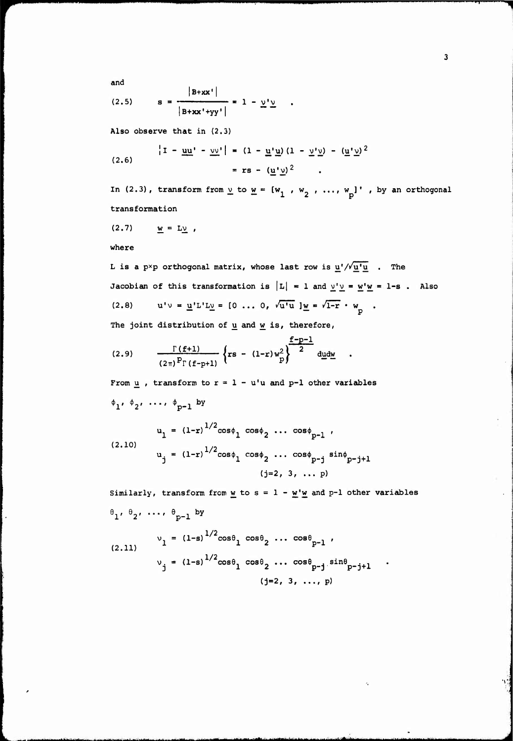and

(2.5) 
$$
s = \frac{|B+xx'|}{|B+xx'+yy'|} = 1 - \underline{y'}\underline{y} .
$$

Also observe that in (2.3)

*mmm*

(2.6) 
$$
\left|1 - \underline{uu}' - \underline{vv}'\right| = (1 - \underline{u'}\underline{u})(1 - \underline{v'}\underline{v}) - (\underline{u'}\underline{v})^2
$$

$$
= rs - (\underline{u'}\underline{v})^2.
$$

In (2.3), **transform** from  $\underline{v}$  to  $\underline{w} = [w_1, w_2, \ldots, w_p]$  , by an orthogonal **trans formation**

$$
(2.7) \qquad \underline{w} = L\underline{v} \ ,
$$

**where**

L is a pxp orthogonal matrix, whose last row is  $\underline{u'}/\sqrt{\underline{u'u}}$  . The Jacobian of this transformation is  $|L| = 1$  and  $y'y = w'w = 1-s$ . Also (2.8)  $u'v = \underline{u}' L' L \underline{v} = [0 \dots 0, \sqrt{u'u}] \underline{w} = \sqrt{1-r} \cdot w_{p}$ .

**The joint distribution of u and w is, therefore,**

(2.9) 
$$
\frac{\Gamma(f+1)}{(2\pi)^{p} \Gamma(f-p+1)} \left\{ rs - (1-r) w_{p}^{2} \right\}^{\frac{f-p-1}{2}} d\underline{u} d\underline{w}
$$

From  $\underline{u}$ , transform to  $r = 1 - u'u$  and  $p-1$  other variables  $\phi_1, \phi_2, \ldots, \phi_{p-1}$  by

$$
u_1 = (1-r)^{1/2} \cos \phi_1 \cos \phi_2 \cdots \cos \phi_{p-1} ,
$$
  
(2.10)  

$$
u_j = (1-r)^{1/2} \cos \phi_1 \cos \phi_2 \cdots \cos \phi_{p-j} \sin \phi_{p-j+1} (j=2, 3, \dots p)
$$

Similarly, transform from  $\underline{w}$  to  $s = 1 - \underline{w}'\underline{w}$  and p-1 other variables **V e**  $\theta_{p-1}$  by

(2.11) 
$$
v_1 = (1-s)^{1/2} \cos \theta_1 \cos \theta_2 \dots \cos \theta_{p-1}
$$
  
\n $v_j = (1-s)^{1/2} \cos \theta_1 \cos \theta_2 \dots \cos \theta_{p-j} \sin \theta_{p-j+1}$   
\n(j=2, 3, ..., p)

— *<sup>m</sup>* ^-- **- -** *- ~-* **- <sup>1</sup> - -^ ^-^A^ ^^^^:^-^.^^,.\_ .^..^-^ A,^^^^ ^\_—\_** *^^^-^^^*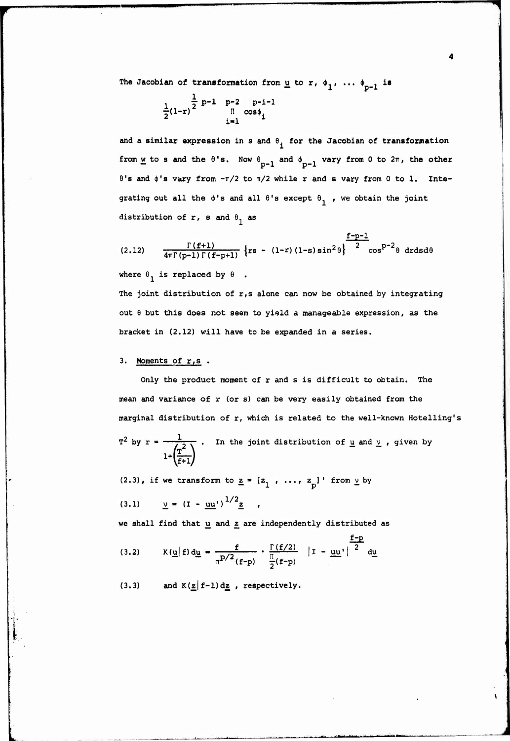The **Jacobian** of **transformation** from  $\underline{u}$  to  $r$ ,  $\phi_1$ , ...  $\phi_{p-1}$  is

$$
\frac{1}{2}(1-r)^{\frac{1}{2}} \prod_{i=1}^{p-1} \frac{p-2}{\cos \phi_i} \prod_{i=1}^{p-i-1}
$$

and a similar expression in s and  $\theta_i$  for the Jacobian of transformation from  $\underline{w}$  to s and the  $\theta$ 's. Now  $\theta_{p-1}$  and  $\phi_{p-1}$  vary from 0 to  $2\pi$ , the other  $\theta$ 's and  $\phi$ 's vary from  $-\pi/2$  to  $\pi/2$  while r and s vary from 0 to 1. Integrating out all the  $\phi'$ s and all  $\theta'$ s except  $\theta_1$ , we obtain the joint distribution of r, s and  $\theta_1$  as

(2.12) 
$$
\frac{\Gamma(f+1)}{4\pi \Gamma(p-1) \Gamma(f-p+1)} \left\{ rs - (1-r) (1-s) sin^{2} \theta \right\}^{\frac{f-p-1}{2}} cos^{p-2} \theta \ dr ds d\theta
$$

where  $\theta_1$  is replaced by  $\theta$ .

The joint distribution of r,s alone can now be obtained by integrating out <sup>6</sup> but this does not seem to yield a manageable expression, as the bracket in (2.12) will have to be expanded in a series.

# 3. Moments of  $r,s$ .

Only the product moment of r and <sup>s</sup> is difficult to obtain. The mean and variance of  $r$  (or s) can be very easily obtained from the marginal distribution of r, which is related to the well-known Hotelling's

$$
T^2
$$
 by  $r = \frac{1}{1 + (\frac{T^2}{f+1})}$ . In the joint distribution of u and v, given by

(2.3), if we transform to  $\underline{z} = \begin{bmatrix} z_1, \ldots, z_p \end{bmatrix}$  from  $\underline{v}$  by

$$
(3.1) \t\t\t\tv = (I - uu)1/2z ,
$$

**we shall find that u and** *z* **are independently distributed as**

(3.2) 
$$
K(\underline{u} | f) d\underline{u} = \frac{f}{\pi^{P/2} (f-p)} \cdot \frac{\Gamma(f/2)}{\frac{\Pi}{2} (f-p)} |I - \underline{u} \underline{u}|^2 d\underline{u}
$$

 $(3.3)$  **and**  $K(\underline{z} | f-1) d\underline{z}$ , **respectively.**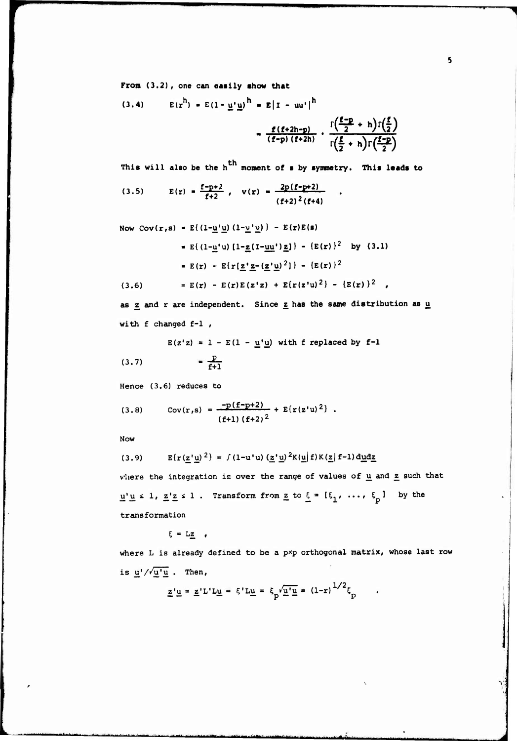**From (3.2),** one **can easily «how that**

$$
(3.4) \qquad E(r^h) = E(1 - \underline{u'}\underline{u})^h = E|1 - \underline{u}^*\|^h
$$
\n
$$
= \frac{f(f+2h-p)}{(f-p)(f+2h)} \cdot \frac{\Gamma\left(\frac{f-p}{2} + h\right)\Gamma\left(\frac{f}{2}\right)}{\Gamma\left(\frac{f}{2} + h\right)\Gamma\left(\frac{f-p}{2}\right)}
$$

This will also be the h<sup>th</sup> moment of s by symmetry. This leads to  
(3.5) 
$$
E(r) = \frac{f-p+2}{f+2}, \quad v(r) = \frac{2p(f-p+2)}{(f+2)^2(f+4)}.
$$

Now  $Cov(r,s) = E((1-\underline{u}^t\underline{u})(1-\underline{v}^t\underline{v}))$   $- E(r)E(s)$ 

$$
= E\{(1-\underline{u}^{\prime}u) [1-\underline{z}(1-\underline{uu}^{\prime})\underline{z}]\} - \{E(r)\}^{2} \text{ by } (3.1)
$$

$$
= E(r) - E\{r[\underline{z}^{\prime}\underline{z} - (\underline{z}^{\prime}\underline{u})^{2}]\} - \{E(r)\}^{2}
$$

$$
(3.6) = E(r) - E(r)E(z^{\prime}z) + E\{r(z^{\prime}u)^{2}\} - \{E(r)\}^{2},
$$

as 
$$
\underline{z}
$$
 and  $r$  are independent. Since  $\underline{z}$  has the same distribution as  $\underline{u}$  with  $f$  changed  $f-1$ ,

 $E(z|z) = 1 - E(1 - \underline{u'}\underline{u})$  with f replaced by  $f-1$ 

$$
(3.7) = \frac{p}{f+1}
$$

**Hence (3.6) reduces to**

$$
(3.8) \tCov(r,s) = \frac{-p(f-p+2)}{(f+1) (f+2)^2} + E\{r(z'u)^2\}.
$$

**Now**

$$
(3.9) \qquad E\{r(\underline{z}^{\dagger}\underline{u})^{2}\} = f(1-u^{\dagger}u) (\underline{z}^{\dagger}\underline{u})^{2}K(\underline{u}|f)K(\underline{z}|f-1)d\underline{u}d\underline{z}
$$

vhere the integration is over the range of values of u and z such that  $\underline{u}'\underline{u} \leq 1$ ,  $\underline{z}'\underline{z} \leq 1$ . Transform from  $\underline{z}$  to  $\underline{\xi} = [\xi_1, \ldots, \xi_p]$  by the transformation

 $\xi = L\underline{z}$  ,

**\*\*"'""" ~-J^-.~...-.» LM..— .^. ., -A-.»........^...—^. ^ ..,-... .-^** *<sup>M</sup>* **( .,!,. ^ A.**

where L is already defined to be a pxp orthogonal matrix, whose last row is  $\frac{u'}{\sqrt{u'u}}$ . Then,

*r:*

 $\overline{\mathbf{5}}$ 

$$
\underline{z} \underline{u} = \underline{z} \underline{v} \underline{v} \underline{u} = \xi' \underline{u} = \xi_p' \underline{\underline{u} \underline{u}} = (1 - r)^{1/2} \xi_p
$$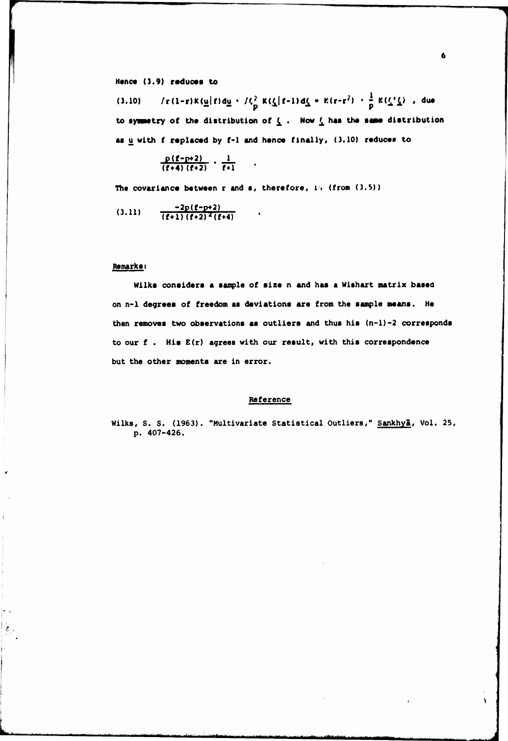#### **M«nc« (3.9) r«duc«t to**

 $f(x) = f(x) - f(x) = f(x) + f(x) - f(x) - f(x) = f(x) - f(x) - f(x) - f(x) - f(x)$  . due to symmetry of the distribution of  $\mathbf{\underline{\ell}}$  . Now  $\mathbf{\underline{\ell}}$  has the same distribution **<sup>M</sup> <sup>u</sup> with f roplacod by f-I and** *hmncm* **finally, (3.10) r«duc«f to**

$$
\frac{p(f-p+2)}{(f+4)(f+2)} \cdot \frac{1}{f+1}
$$

**^"""<sup>M</sup> " " —** *'"• t—nttmtatmmmtmämmtämi^^um\*^*

**Th« covarianc« between <sup>r</sup> and , therefore, !• (fron (3.S))**

 $(3.11)$   $\frac{-2p(f-p+2)}{(f+1)(f+2)^2(f+4)}$ **(3 - ll)**

### **Remark«** *t*

 $\mathcal{E}_{\mathcal{E}}$  .

**Wllks considers a sample of size <sup>n</sup> and has <sup>a</sup> Wlshart matrix based on n-1 degrees of freedom as deviations are from the sample means. He then removes two observations as outliers and thus his (n-1)-2 corresponds to our f . His E(r) agrees with our result, with this correspondence but the other moments are in error.**

### **Reference**

**Wilks, S. S. (1963). "Multivariate Statistical Outliers," Sankhyä, Vol. 25, p. 407-426.**

 $\lambda$